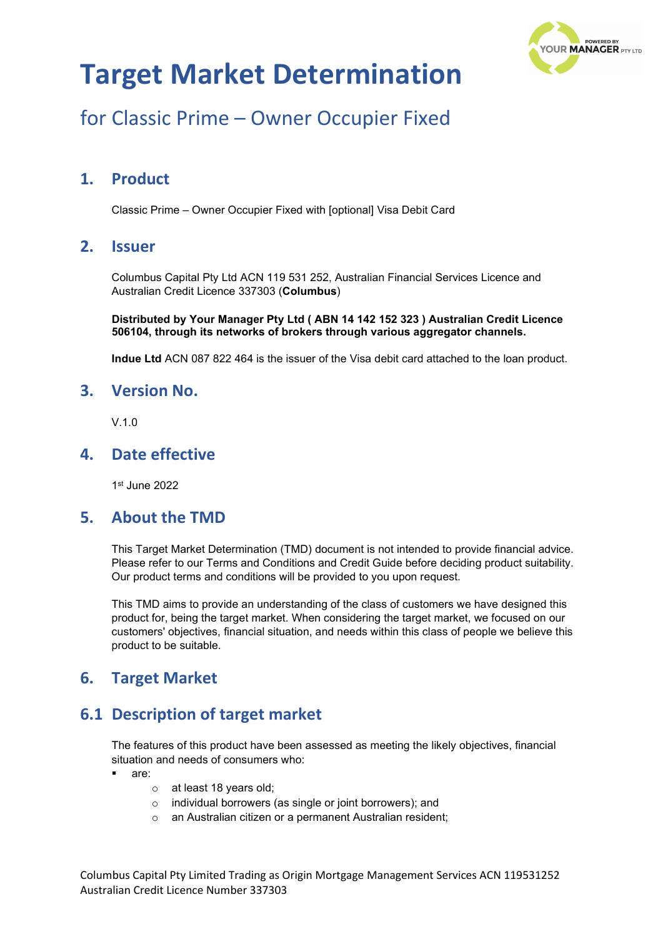

## for Classic Prime – Owner Occupier Fixed

### **1. Product**

Classic Prime – Owner Occupier Fixed with [optional] Visa Debit Card

### **2. Issuer**

Columbus Capital Pty Ltd ACN 119 531 252, Australian Financial Services Licence and Australian Credit Licence 337303 (**Columbus**)

**Distributed by Your Manager Pty Ltd ( ABN 14 142 152 323 ) Australian Credit Licence 506104, through its networks of brokers through various aggregator channels.**

**Indue Ltd** ACN 087 822 464 is the issuer of the Visa debit card attached to the loan product.

#### **3. Version No.**

 $V<sub>10</sub>$ 

### **4. Date effective**

1st June 2022

### **5. About the TMD**

This Target Market Determination (TMD) document is not intended to provide financial advice. Please refer to our Terms and Conditions and Credit Guide before deciding product suitability. Our product terms and conditions will be provided to you upon request.

This TMD aims to provide an understanding of the class of customers we have designed this product for, being the target market. When considering the target market, we focused on our customers' objectives, financial situation, and needs within this class of people we believe this product to be suitable.

### **6. Target Market**

### **6.1 Description of target market**

The features of this product have been assessed as meeting the likely objectives, financial situation and needs of consumers who:

- are:
	- o at least 18 years old;
	- o individual borrowers (as single or joint borrowers); and
	- o an Australian citizen or a permanent Australian resident;

Columbus Capital Pty Limited Trading as Origin Mortgage Management Services ACN 119531252 Australian Credit Licence Number 337303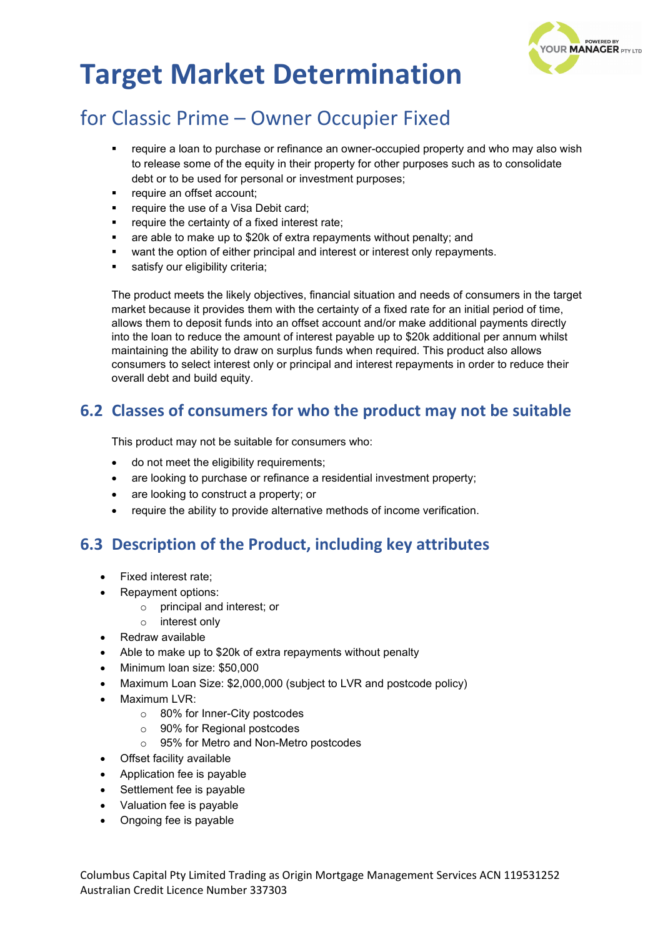

## for Classic Prime – Owner Occupier Fixed

- require a loan to purchase or refinance an owner-occupied property and who may also wish to release some of the equity in their property for other purposes such as to consolidate debt or to be used for personal or investment purposes;
- require an offset account;
- require the use of a Visa Debit card;
- require the certainty of a fixed interest rate;
- are able to make up to \$20k of extra repayments without penalty; and
- want the option of either principal and interest or interest only repayments.
- satisfy our eligibility criteria:

The product meets the likely objectives, financial situation and needs of consumers in the target market because it provides them with the certainty of a fixed rate for an initial period of time, allows them to deposit funds into an offset account and/or make additional payments directly into the loan to reduce the amount of interest payable up to \$20k additional per annum whilst maintaining the ability to draw on surplus funds when required. This product also allows consumers to select interest only or principal and interest repayments in order to reduce their overall debt and build equity.

### **6.2 Classes of consumers for who the product may not be suitable**

This product may not be suitable for consumers who:

- do not meet the eligibility requirements;
- are looking to purchase or refinance a residential investment property;
- are looking to construct a property; or
- require the ability to provide alternative methods of income verification.

### **6.3 Description of the Product, including key attributes**

- Fixed interest rate;
- Repayment options:
	- o principal and interest; or
	- o interest only
- Redraw available
- Able to make up to \$20k of extra repayments without penalty
- Minimum loan size: \$50,000
- Maximum Loan Size: \$2,000,000 (subject to LVR and postcode policy)
- Maximum LVR:
	- o 80% for Inner-City postcodes
	- o 90% for Regional postcodes
	- o 95% for Metro and Non-Metro postcodes
- Offset facility available
- Application fee is payable
- Settlement fee is payable
- Valuation fee is payable
- Ongoing fee is payable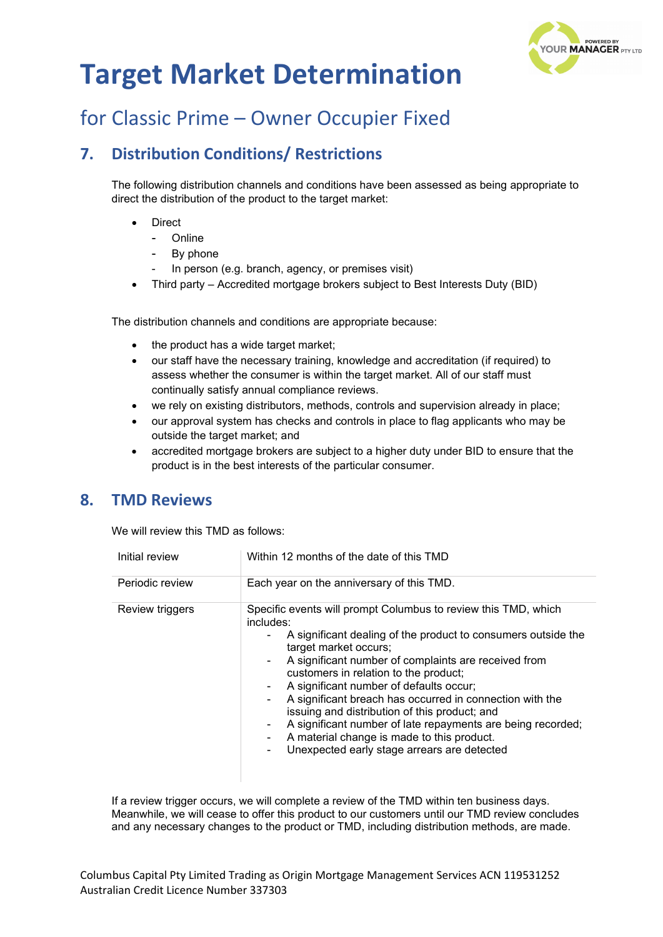

## for Classic Prime – Owner Occupier Fixed

### **7. Distribution Conditions/ Restrictions**

The following distribution channels and conditions have been assessed as being appropriate to direct the distribution of the product to the target market:

- **Direct** 
	- **Online**
	- By phone
	- In person (e.g. branch, agency, or premises visit)
- Third party Accredited mortgage brokers subject to Best Interests Duty (BID)

The distribution channels and conditions are appropriate because:

- the product has a wide target market;
- our staff have the necessary training, knowledge and accreditation (if required) to assess whether the consumer is within the target market. All of our staff must continually satisfy annual compliance reviews.
- we rely on existing distributors, methods, controls and supervision already in place;
- our approval system has checks and controls in place to flag applicants who may be outside the target market; and
- accredited mortgage brokers are subject to a higher duty under BID to ensure that the product is in the best interests of the particular consumer.

### **8. TMD Reviews**

We will review this TMD as follows:

| Initial review  | Within 12 months of the date of this TMD                                                                                                                                                                                                                                                                                                                                                                                                                                                                                                                                                                                         |
|-----------------|----------------------------------------------------------------------------------------------------------------------------------------------------------------------------------------------------------------------------------------------------------------------------------------------------------------------------------------------------------------------------------------------------------------------------------------------------------------------------------------------------------------------------------------------------------------------------------------------------------------------------------|
| Periodic review | Each year on the anniversary of this TMD.                                                                                                                                                                                                                                                                                                                                                                                                                                                                                                                                                                                        |
| Review triggers | Specific events will prompt Columbus to review this TMD, which<br>includes:<br>A significant dealing of the product to consumers outside the<br>۰.<br>target market occurs;<br>A significant number of complaints are received from<br>$\sim$<br>customers in relation to the product;<br>A significant number of defaults occur;<br>۰<br>A significant breach has occurred in connection with the<br>۰.<br>issuing and distribution of this product; and<br>A significant number of late repayments are being recorded;<br>۰<br>A material change is made to this product.<br>Unexpected early stage arrears are detected<br>۰. |

If a review trigger occurs, we will complete a review of the TMD within ten business days. Meanwhile, we will cease to offer this product to our customers until our TMD review concludes and any necessary changes to the product or TMD, including distribution methods, are made.